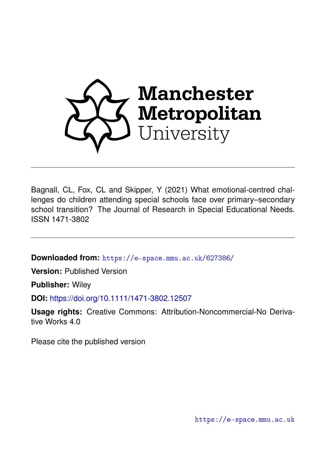

Bagnall, CL, Fox, CL and Skipper, Y (2021) What emotional-centred challenges do children attending special schools face over primary–secondary school transition? The Journal of Research in Special Educational Needs. ISSN 1471-3802

**Downloaded from:** <https://e-space.mmu.ac.uk/627386/>

**Version:** Published Version

**Publisher:** Wiley

**DOI:** <https://doi.org/10.1111/1471-3802.12507>

**Usage rights:** Creative Commons: Attribution-Noncommercial-No Derivative Works 4.0

Please cite the published version

<https://e-space.mmu.ac.uk>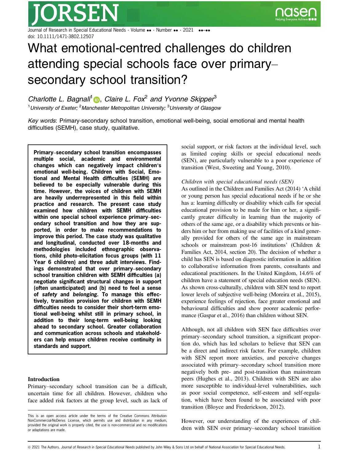Journal of Research in Special Educational Needs  $\cdot$  Volume  $\bullet\bullet\cdot$  Number  $\bullet\bullet\cdot$  2021 doi: 10.1111/1471-3802.12507

# What emotional-centred challenges do children attending special schools face over primary– secondary school transition?

Charlotte L. Bagnall<sup>1</sup> **D**. Claire L. Fox<sup>2</sup> and Yvonne Skipper<sup>3</sup> <sup>1</sup>University of Exeter; <sup>2</sup>Manchester Metropolitan University; <sup>3</sup>University of Glasgow

Key words: Primary-secondary school transition, emotional well-being, social emotional and mental health difficulties (SEMH), case study, qualitative.

Primary–secondary school transition encompasses multiple social, academic and environmental changes which can negatively impact children's emotional well-being. Children with Social, Emotional and Mental Health difficulties (SEMH) are believed to be especially vulnerable during this time. However, the voices of children with SEMH are heavily underrepresented in this field within practice and research. The present case study examined how children with SEMH difficulties within one special school experience primary–secondary school transition and how they are supported, in order to make recommendations to improve this period. The case study was qualitative and longitudinal, conducted over 18-months and methodologies included ethnographic observations, child photo-elicitation focus groups (with 11 Year 6 children) and three adult interviews. Findings demonstrated that over primary–secondary school transition children with SEMH difficulties (a) negotiate significant structural changes in support (often unanticipated) and (b) need to feel a sense of safety and belonging. To manage this effectively, transition provision for children with SEMH difficulties needs to consider their short-term emotional well-being whilst still in primary school, in addition to their long-term well-being looking ahead to secondary school. Greater collaboration and communication across schools and stakeholders can help ensure children receive continuity in standards and support.

#### Introduction

Primary–secondary school transition can be a difficult, uncertain time for all children. However, children who face added risk factors at the group level, such as lack of social support, or risk factors at the individual level, such as limited coping skills or special educational needs (SEN), are particularly vulnerable to a poor experience of transition (West, Sweeting and Young, 2010).

#### Children with special educational needs (SEN)

As outlined in the Children and Families Act (2014) 'A child or young person has special educational needs if he or she has a: learning difficulty or disability which calls for special educational provision to be made for him or her, a significantly greater difficulty in learning than the majority of others of the same age, or a disability which prevents or hinders him or her from making use of facilities of a kind generally provided for others of the same age in mainstream schools or mainstream post-16 institutions' (Children & Families Act, 2014, section 20). The decision of whether a child has SEN is based on diagnostic information in addition to collaborative information from parents, consultants and educational practitioners. In the United Kingdom, 14.6% of children have a statement of special education needs (SEN). As shown cross-culturally, children with SEN tend to report lower levels of subjective well-being (Moreira et al., 2015), experience feelings of rejection, face greater emotional and behavioural difficulties and show poorer academic performance (Gaspar et al., 2016) than children without SEN.

Although, not all children with SEN face difficulties over primary–secondary school transition, a significant proportion do, which has led scholars to believe that SEN can be a direct and indirect risk factor. For example, children with SEN report more anxieties, and perceive changes associated with primary–secondary school transition more negatively both pre- and post-transition than mainstream peers (Hughes et al., 2013). Children with SEN are also more susceptible to individual-level vulnerabilities, such as poor social competence, self-esteem and self-regulation, which have been found to be associated with poor transition (Bloyce and Frederickson, 2012).

However, our understanding of the experiences of children with SEN over primary–secondary school transition

This is an open access article under the terms of the [Creative Commons Attribution-](http://creativecommons.org/licenses/by-nc-nd/4.0/)[NonCommercial-NoDerivs](http://creativecommons.org/licenses/by-nc-nd/4.0/) License, which permits use and distribution in any medium, provided the original work is properly cited, the use is non-commercial and no modifications or adaptations are made.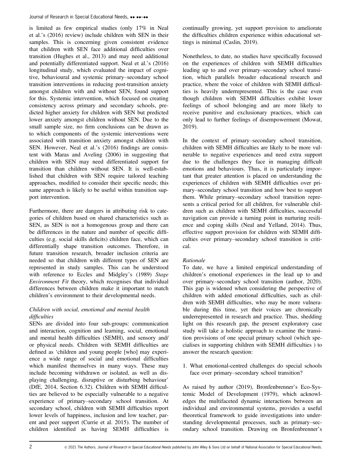is limited as few empirical studies (only 17% in Neal et al.'s (2016) review) include children with SEN in their samples. This is concerning given consistent evidence that children with SEN face additional difficulties over transition (Hughes et al., 2013) and may need additional and potentially differentiated support. Neal et al.'s (2016) longitudinal study, which evaluated the impact of cognitive, behavioural and systemic primary–secondary school transition interventions in reducing post-transition anxiety amongst children with and without SEN, found support for this. Systemic intervention, which focused on creating consistency across primary and secondary schools, predicted higher anxiety for children with SEN but predicted lower anxiety amongst children without SEN. Due to the small sample size, no firm conclusions can be drawn as to which components of the systemic interventions were associated with transition anxiety amongst children with SEN. However, Neal et al.'s (2016) findings are consistent with Maras and Aveling (2006) in suggesting that children with SEN may need differentiated support for transition than children without SEN. It is well-established that children with SEN require tailored teaching approaches, modified to consider their specific needs; this same approach is likely to be useful within transition support intervention.

Furthermore, there are dangers in attributing risk to categories of children based on shared characteristics such as SEN, as SEN is not a homogenous group and there can be differences in the nature and number of specific difficulties (e.g. social skills deficits) children face, which can differentially shape transition outcomes. Therefore, in future transition research, broader inclusion criteria are needed so that children with different types of SEN are represented in study samples. This can be understood with reference to Eccles and Midgley's (1989) Stage Environment Fit theory, which recognises that individual differences between children make it important to match children's environment to their developmental needs.

# Children with social, emotional and mental health difficulties

SENs are divided into four sub-groups: communication and interaction, cognition and learning, social, emotional and mental health difficulties (SEMH), and sensory and/ or physical needs. Children with SEMH difficulties are defined as 'children and young people [who] may experience a wide range of social and emotional difficulties which manifest themselves in many ways. These may include becoming withdrawn or isolated, as well as displaying challenging, disruptive or disturbing behaviour' (DfE, 2014, Section 6.32). Children with SEMH difficulties are believed to be especially vulnerable to a negative experience of primary–secondary school transition. At secondary school, children with SEMH difficulties report lower levels of happiness, inclusion and low teacher, parent and peer support (Currie et al. 2015). The number of children identified as having SEMH difficulties is continually growing, yet support provision to ameliorate the difficulties children experience within educational settings is minimal (Caslin, 2019).

Nonetheless, to date, no studies have specifically focussed on the experiences of children with SEMH difficulties leading up to and over primary–secondary school transition, which parallels broader educational research and practice, where the voice of children with SEMH difficulties is heavily underrepresented. This is the case even though children with SEMH difficulties exhibit lower feelings of school belonging and are more likely to receive punitive and exclusionary practices, which can only lead to further feelings of disempowerment (Mowat, 2019).

In the context of primary–secondary school transition, children with SEMH difficulties are likely to be more vulnerable to negative experiences and need extra support due to the challenges they face in managing difficult emotions and behaviours. Thus, it is particularly important that greater attention is placed on understanding the experiences of children with SEMH difficulties over primary–secondary school transition and how best to support them. While primary–secondary school transition represents a critical period for all children, for vulnerable children such as children with SEMH difficulties, successful navigation can provide a turning point in nurturing resilience and coping skills (Neal and Yelland, 2014). Thus, effective support provision for children with SEMH difficulties over primary–secondary school transition is critical.

# Rationale

To date, we have a limited empirical understanding of children's emotional experiences in the lead up to and over primary–secondary school transition (author, 2020). This gap is widened when considering the perspective of children with added emotional difficulties, such as children with SEMH difficulties, who may be more vulnerable during this time, yet their voices are chronically underrepresented in research and practice. Thus, shedding light on this research gap, the present exploratory case study will take a holistic approach to examine the transition provisions of one special primary school (which specialises in supporting children with SEMH difficulties ) to answer the research question:

1. What emotional-centred challenges do special schools face over primary–secondary school transition?

As raised by author (2019), Bronfenbrenner's Eco-Systemic Model of Development (1979), which acknowledges the multifaceted dynamic interactions between an individual and environmental systems, provides a useful theoretical framework to guide investigations into understanding developmental processes, such as primary–secondary school transition. Drawing on Bronfenbrenner's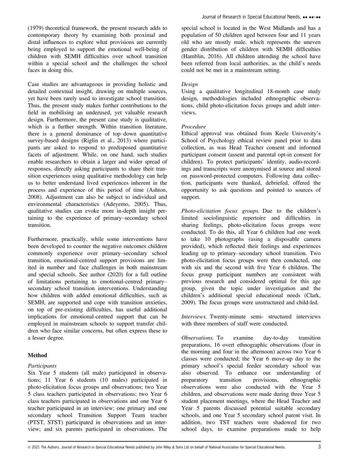(1979) theoretical framework, the present research adds to contemporary theory by examining both proximal and distal influences to explore what provisions are currently being employed to support the emotional well-being of children with SEMH difficulties over school transition within a special school and the challenges the school faces in doing this.

Case studies are advantageous in providing holistic and detailed contextual insight, drawing on multiple sources, yet have been rarely used to investigate school transition. Thus, the present study makes further contributions to the field in mobilising an underused, yet valuable research design. Furthermore, the present case study is qualitative, which is a further strength. Within transition literature, there is a general dominance of top–down quantitative survey-based designs (Riglin et al., 2013) where participants are asked to respond to predisposed quantitative facets of adjustment. While, on one hand, such studies enable researchers to obtain a larger and wider spread of responses, directly asking participants to share their transition experiences using qualitative methodology can help us to better understand lived experiences inherent in the process and experience of this period of time (Ashton, 2008). Adjustment can also be subject to individual and environmental characteristics (Adeyemo, 2005). Thus, qualitative studies can evoke more in-depth insight pertaining to the experience of primary–secondary school transition.

Furthermore, practically, while some interventions have been developed to counter the negative outcomes children commonly experience over primary–secondary school transition, emotional-centred support provisions are limited in number and face challenges in both mainstream and special schools. See author (2020) for a full outline of limitations pertaining to emotional-centred primary– secondary school transition interventions. Understanding how children with added emotional difficulties, such as SEMH, are supported and cope with transition anxieties, on top of pre-existing difficulties, has useful additional implications for emotional-centred support that can be employed in mainstream schools to support transfer children who face similar concerns, but often express these to a lesser degree.

### Method

#### **Participants**

Six Year 5 students (all male) participated in observations; 11 Year 6 students (10 males) participated in photo-elicitation focus groups and observations; two Year 5 class teachers participated in observations; two Year 6 class teachers participated in observations and one Year 6 teacher participated in an interview; one primary and one secondary school Transition Support Team teacher (PTST, STST) participated in observations and an interview; and six parents participated in observations. The

special school is located in the West Midlands and has a population of 50 children aged between four and 11 years old who are mostly male, which represents the uneven gender distribution of children with SEMH difficulties (Hamblin, 2016). All children attending the school have been referred from local authorities, as the child's needs could not be met in a mainstream setting.

#### Design

Using a qualitative longitudinal 18-month case study design, methodologies included ethnographic observations, child photo-elicitation focus groups and adult interviews.

#### Procedure

Ethical approval was obtained from Keele University's School of Psychology ethical review panel prior to data collection, as was Head Teacher consent and informed participant consent (assent and parental opt-in consent for children). To protect participants' identity, audio-recordings and transcripts were anonymised at source and stored on password-protected computers. Following data collection, participants were thanked, debriefed, offered the opportunity to ask questions and pointed to sources of support.

Photo-elicitation focus groups. Due to the children's limited sociolinguistic repertoire and difficulties in sharing feelings, photo-elicitation focus groups were conducted. To do this, all Year 6 children had one week to take 10 photographs (using a disposable camera provided), which reflected their feelings and experiences leading up to primary–secondary school transition. Two photo-elicitation focus groups were then conducted, one with six and the second with five Year 6 children. The focus group participant numbers are consistent with previous research and considered optimal for this age group, given the topic under investigation and the children's additional special educational needs (Clark, 2009). The focus groups were unstructured and child-led.

Interviews. Twenty-minute semi- structured interviews with three members of staff were conducted.

Observations. To examine day-to-day transition preparations, 16 overt ethnographic observations (four in the morning and four in the afternoon) across two Year 6 classes were conducted; the Year 6 move-up day to the primary school's special feeder secondary school was also observed. To enhance our understanding of preparatory transition provisions, ethnographic observations were also conducted with the Year 5 children, and observations were made during three Year 5 student placement meetings, where the Head Teacher and Year 5 parents discussed potential suitable secondary schools, and one Year 5 secondary school parent visit. In addition, two TST teachers were shadowed for two school days, to examine preparations made to help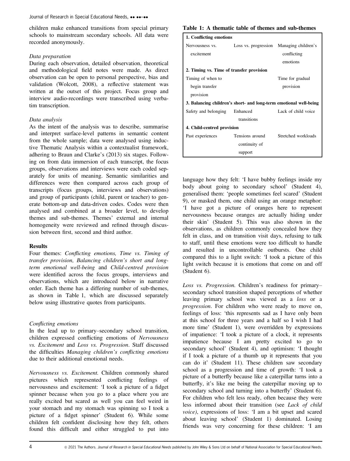children make enhanced transitions from special primary schools to mainstream secondary schools. All data were recorded anonymously.

## Data preparation

During each observation, detailed observation, theoretical and methodological field notes were made. As direct observation can be open to personal perspective, bias and validation (Wolcott, 2008), a reflective statement was written at the outset of this project. Focus group and interview audio-recordings were transcribed using verbatim transcription.

## Data analysis

As the intent of the analysis was to describe, summarise and interpret surface-level patterns in semantic content from the whole sample; data were analysed using inductive Thematic Analysis within a contextualist framework, adhering to Braun and Clarke's (2013) six stages. Following on from data immersion of each transcript, the focus groups, observations and interviews were each coded separately for units of meaning. Semantic similarities and differences were then compared across each group of transcripts (focus groups, interviews and observations) and group of participants (child, parent or teacher) to generate bottom-up and data-driven codes. Codes were then analysed and combined at a broader level, to develop themes and sub-themes. Themes' external and internal homogeneity were reviewed and refined through discussion between first, second and third author.

# **Results**

Four themes: Conflicting emotions, Time vs. Timing of transfer provision, Balancing children's short and longterm emotional well-being and Child-centred provision were identified across the focus groups, interviews and observations, which are introduced below in narrative order. Each theme has a differing number of sub-themes, as shown in Table 1, which are discussed separately below using illustrative quotes from participants.

# Conflicting emotions

In the lead up to primary–secondary school transition, children expressed conflicting emotions of Nervousness vs. Excitement and Loss vs. Progression. Staff discussed the difficulties Managing children's conflicting emotions due to their additional emotional needs.

Nervousness vs. Excitement. Children commonly shared pictures which represented conflicting feelings of nervousness and excitement: 'I took a picture of a fidget spinner because when you go to a place where you are really excited but scared as well you can feel weird in your stomach and my stomach was spinning so I took a picture of a fidget spinner' (Student 6). While some children felt confident disclosing how they felt, others found this difficult and either struggled to put into

## Table 1: A thematic table of themes and sub-themes

| 1. Conflicting emotions                                           |                 |                                          |
|-------------------------------------------------------------------|-----------------|------------------------------------------|
| Nervousness vs.                                                   |                 | Loss vs. progression Managing children's |
| excitement                                                        |                 | conflicting                              |
|                                                                   |                 | emotions                                 |
| 2. Timing vs. Time of transfer provision                          |                 |                                          |
| Timing of when to                                                 |                 | Time for gradual                         |
| begin transfer                                                    |                 | provision                                |
| provision                                                         |                 |                                          |
| 3. Balancing children's short- and long-term emotional well-being |                 |                                          |
| Safety and belonging                                              | Enhanced        | Lack of child voice                      |
|                                                                   | transitions     |                                          |
| 4. Child-centred provision                                        |                 |                                          |
| Past experiences                                                  | Tensions around | Stretched workloads                      |
|                                                                   | continuity of   |                                          |
| support                                                           |                 |                                          |

language how they felt: 'I have bubby feelings inside my body about going to secondary school' (Student 4), generalised them: 'people sometimes feel scared' (Student 9), or masked them, one child using an orange metaphor: 'I have got a picture of oranges here to represent nervousness because oranges are actually hiding under their skin' (Student 5). This was also shown in the observations, as children commonly concealed how they felt in class, and on transition visit days, refusing to talk to staff, until these emotions were too difficult to handle and resulted in uncontrollable outbursts. One child compared this to a light switch: 'I took a picture of this light switch because it is emotions that come on and off (Student 6).

Loss vs. Progression. Children's readiness for primary– secondary school transition shaped perceptions of whether leaving primary school was viewed as a loss or a progression. For children who were ready to move on, feelings of loss: 'this represents sad as I have only been at this school for three years and a half so I wish I had more time' (Student 1), were overridden by expressions of impatience: 'I took a picture of a clock, it represents impatience because I am pretty excited to go to secondary school' (Student 4), and optimism: 'I thought if I took a picture of a thumb up it represents that you can do it' (Student 11). These children saw secondary school as a progression and time of growth: 'I took a picture of a butterfly because like a caterpillar turns into a butterfly, it's like me being the caterpillar moving up to secondary school and turning into a butterfly' (Student 6). For children who felt less ready, often because they were less informed about their transition (see Lack of child voice), expressions of loss: 'I am a bit upset and scared about leaving school' (Student 1) dominated. Losing friends was very concerning for these children: 'I am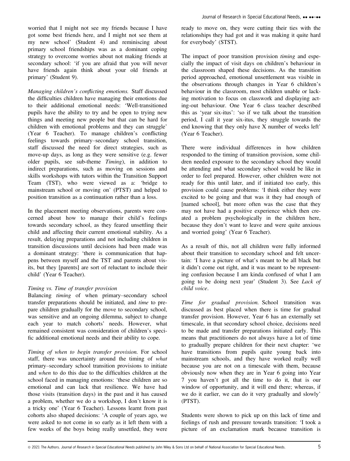worried that I might not see my friends because I have got some best friends here, and I might not see them at my new school' (Student 4) and reminiscing about primary school friendships was as a dominant coping strategy to overcome worries about not making friends at secondary school: 'if you are afraid that you will never have friends again think about your old friends at primary' (Student 9).

Managing children's conflicting emotions. Staff discussed the difficulties children have managing their emotions due to their additional emotional needs: 'Well-transitioned pupils have the ability to try and be open to trying new things and meeting new people but that can be hard for children with emotional problems and they can struggle' (Year 6 Teacher). To manage children's conflicting feelings towards primary–secondary school transition, staff discussed the need for direct strategies, such as move-up days, as long as they were sensitive (e.g. fewer older pupils, see sub-theme Timing), in addition to indirect preparations, such as moving on sessions and skills workshops with tutors within the Transition Support Team (TST), who were viewed as a: 'bridge to mainstream school or moving on' (PTST) and helped to position transition as a continuation rather than a loss.

In the placement meeting observations, parents were concerned about how to manage their child's feelings towards secondary school, as they feared unsettling their child and affecting their current emotional stability. As a result, delaying preparations and not including children in transition discussions until decisions had been made was a dominant strategy: 'there is communication that happens between myself and the TST and parents about visits, but they [parents] are sort of reluctant to include their child' (Year 6 Teacher).

#### Timing vs. Time of transfer provision

Balancing timing of when primary–secondary school transfer preparations should be initiated, and time to prepare children gradually for the move to secondary school, was sensitive and an ongoing dilemma, subject to change each year to match cohorts' needs. However, what remained consistent was consideration of children's specific additional emotional needs and their ability to cope.

Timing of when to begin transfer provision. For school staff, there was uncertainty around the timing of what primary–secondary school transition provisions to initiate and when to do this due to the difficulties children at the school faced in managing emotions: 'these children are so emotional and can lack that resilience. We have had those visits (transition days) in the past and it has caused a problem, whether we do a workshop, I don't know it is a tricky one' (Year 6 Teacher). Lessons learnt from past cohorts also shaped decisions: 'A couple of years ago, we were asked to not come in so early as it left them with a few weeks of the boys being really unsettled, they were ready to move on, they were cutting their ties with the relationships they had got and it was making it quite hard for everybody' (STST).

The impact of poor transition provision *timing* and especially the impact of visit days on children's behaviour in the classroom shaped these decisions. As the transition period approached, emotional unsettlement was visible in the observations through changes in Year 6 children's behaviour in the classroom, most children unable or lacking motivation to focus on classwork and displaying acting-out behaviour. One Year 6 class teacher described this as 'year six-itus': 'so if we talk about the transition period, I call it year six-itus, they struggle towards the end knowing that they only have X number of weeks left' (Year 6 Teacher).

There were individual differences in how children responded to the timing of transition provision, some children needed exposure to the secondary school they would be attending and what secondary school would be like in order to feel prepared. However, other children were not ready for this until later, and if initiated too early, this provision could cause problems: 'I think either they were excited to be going and that was it they had enough of [named school], but more often was the case that they may not have had a positive experience which then created a problem psychologically in the children here, because they don't want to leave and were quite anxious and worried going' (Year 6 Teacher).

As a result of this, not all children were fully informed about their transition to secondary school and felt uncertain: 'I have a picture of what's meant to be all black but it didn't come out right, and it was meant to be representing confusion because I am kinda confused of what I am going to be doing next year' (Student 3). See Lack of child voice.

Time for gradual provision. School transition was discussed as best placed when there is time for gradual transfer provision. However, Year 6 has an externally set timescale, in that secondary school choice, decisions need to be made and transfer preparations initiated early. This means that practitioners do not always have a lot of time to gradually prepare children for their next chapter: 'we have transitions from pupils quite young back into mainstream schools, and they have worked really well because you are not on a timescale with them, because obviously now when they are in Year 6 going into Year 7 you haven't got all the time to do it, that is our window of opportunity, and it will end there; whereas, if we do it earlier, we can do it very gradually and slowly' (PTST).

Students were shown to pick up on this lack of time and feelings of rush and pressure towards transition: 'I took a picture of an exclamation mark because transition is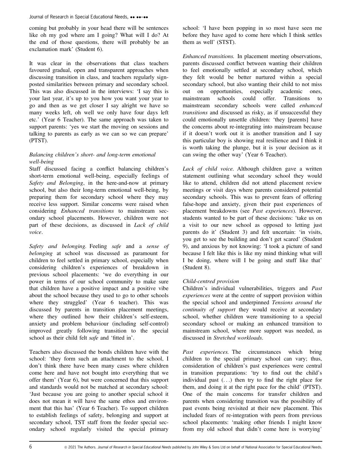coming but probably in your head there will be sentences like oh my god where am I going? What will I do? At the end of those questions, there will probably be an exclamation mark' (Student 6).

It was clear in the observations that class teachers favoured gradual, open and transparent approaches when discussing transition in class, and teachers regularly signposted similarities between primary and secondary school. This was also discussed in the interviews: 'I say this is your last year, it's up to you how you want your year to go and then as we get closer I say alright we have so many weeks left, oh well we only have four days left etc.' (Year 6 Teacher). The same approach was taken to support parents: 'yes we start the moving on sessions and talking to parents as early as we can so we can prepare' (PTST).

# Balancing children's short- and long-term emotional well-being

Staff discussed facing a conflict balancing children's short-term emotional well-being, especially feelings of Safety and Belonging, in the here-and-now at primary school, but also their long-term emotional well-being, by preparing them for secondary school where they may receive less support. Similar concerns were raised when considering Enhanced transitions to mainstream secondary school placements. However, children were not part of these decisions, as discussed in Lack of child voice.

Safety and belonging. Feeling safe and a sense of belonging at school was discussed as paramount for children to feel settled in primary school, especially when considering children's experiences of breakdown in previous school placements: 'we do everything in our power in terms of our school community to make sure that children have a positive impact and a positive vibe about the school because they used to go to other schools where they struggled' (Year 6 teacher). This was discussed by parents in transition placement meetings, where they outlined how their children's self-esteem, anxiety and problem behaviour (including self-control) improved greatly following transition to the special school as their child felt safe and 'fitted in'.

Teachers also discussed the bonds children have with the school: 'they form such an attachment to the school, I don't think there have been many cases where children come here and have not bought into everything that we offer them' (Year 6), but were concerned that this support and standards would not be matched at secondary school: 'Just because you are going to another special school it does not mean it will have the same ethos and environment that this has' (Year 6 Teacher). To support children to establish feelings of safety, belonging and support at secondary school, TST staff from the feeder special secondary school regularly visited the special primary school: 'I have been popping in so most have seen me before they have aged to come here which I think settles them as well' (STST).

Enhanced transitions. In placement meeting observations, parents discussed conflict between wanting their children to feel emotionally settled at secondary school, which they felt would be better nurtured within a special secondary school, but also wanting their child to not miss out on opportunities, especially academic ones, mainstream schools could offer. Transitions to mainstream secondary schools were called enhanced transitions and discussed as risky, as if unsuccessful they could emotionally unsettle children: 'they [parents] have the concerns about re-integrating into mainstream because if it doesn't work out it is another transition and I say this particular boy is showing real resilience and I think it is worth taking the plunge, but it is your decision as it can swing the other way' (Year 6 Teacher).

Lack of child voice. Although children gave a written statement outlining what secondary school they would like to attend, children did not attend placement review meetings or visit days where parents considered potential secondary schools. This was to prevent fears of offering false-hope and anxiety, given their past experiences of placement breakdowns (see Past experiences). However, students wanted to be part of these decisions: 'take us on a visit to our new school as opposed to letting just parents do it' (Student 3) and felt uncertain: 'in visits, you get to see the building and don't get scared' (Student 9), and anxious by not knowing: 'I took a picture of sand because I felt like this is like my mind thinking what will I be doing, where will I be going and stuff like that' (Student 8).

# Child-centred provision

Children's individual vulnerabilities, triggers and Past experiences were at the centre of support provision within the special school and underpinned Tensions around the continuity of support they would receive at secondary school, whether children were transitioning to a special secondary school or making an enhanced transition to mainstream school, where more support was needed, as discussed in Stretched workloads.

Past experiences. The circumstances which bring children to the special primary school can vary; thus, consideration of children's past experiences were central in transition preparations: 'try to find out the child's individual past (...) then try to find the right place for them, and doing it at the right pace for the child' (PTST). One of the main concerns for transfer children and parents when considering transition was the possibility of past events being revisited at their new placement. This included fears of re-integration with peers from previous school placements: 'making other friends I might know from my old school that didn't come here is worrying'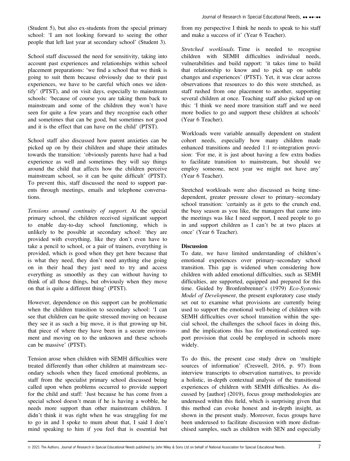(Student 5), but also ex-students from the special primary school: 'I am not looking forward to seeing the other people that left last year at secondary school' (Student 3).

School staff discussed the need for sensitivity, taking into account past experiences and relationships within school placement preparations: 'we find a school that we think is going to suit them because obviously due to their past experiences, we have to be careful which ones we identify' (PTST), and on visit days, especially to mainstream schools: 'because of course you are taking them back to mainstream and some of the children they won't have seen for quite a few years and they recognise each other and sometimes that can be good, but sometimes not good and it is the effect that can have on the child' (PTST).

School staff also discussed how parent anxieties can be picked up on by their children and shape their attitudes towards the transition: 'obviously parents have had a bad experience as well and sometimes they will say things around the child that affects how the children perceive mainstream school, so it can be quite difficult' (PTST). To prevent this, staff discussed the need to support parents through meetings, emails and telephone conversations.

Tensions around continuity of support. At the special primary school, the children received significant support to enable day-to-day school functioning, which is unlikely to be possible at secondary school: 'they are provided with everything, like they don't even have to take a pencil to school, or a pair of trainers, everything is provided, which is good when they get here because that is what they need, they don't need anything else going on in their head they just need to try and access everything as smoothly as they can without having to think of all those things, but obviously when they move on that is quite a different thing' (PTST).

However, dependence on this support can be problematic when the children transition to secondary school: 'I can see that children can be quite stressed moving on because they see it as such a big move, it is that growing up bit, that piece of where they have been in a secure environment and moving on to the unknown and these schools can be massive' (PTST).

Tension arose when children with SEMH difficulties were treated differently than other children at mainstream secondary schools when they faced emotional problems, as staff from the specialist primary school discussed being called upon when problems occurred to provide support for the child and staff: 'Just because he has come from a special school doesn't mean if he is having a wobble, he needs more support than other mainstream children. I didn't think it was right when he was struggling for me to go in and I spoke to mum about that, I said I don't mind speaking to him if you feel that is essential but from my perspective I think he needs to speak to his staff and make a success of it' (Year 6 Teacher).

Stretched workloads. Time is needed to recognise children with SEMH difficulties individual needs, vulnerabilities and build rapport: 'it takes time to build that relationship to know and to pick up on subtle changes and experiences' (PTST). Yet, it was clear across observations that resources to do this were stretched, as staff rushed from one placement to another, supporting several children at once. Teaching staff also picked up on this: 'I think we need more transition staff and we need more bodies to go and support these children at schools' (Year 6 Teacher).

Workloads were variable annually dependent on student cohort needs, especially how many children made enhanced transitions and needed 1:1 re-integration provision: 'For me, it is just about having a few extra bodies to facilitate transition to mainstream, but should we employ someone, next year we might not have any' (Year 6 Teacher).

Stretched workloads were also discussed as being timedependent, greater pressure closer to primary–secondary school transition: 'certainly as it gets to the crunch end, the busy season as you like, the managers that came into the meetings was like I need support, I need people to go in and support children as I can't be at two places at once' (Year 6 Teacher).

## Discussion

To date, we have limited understanding of children's emotional experiences over primary–secondary school transition. This gap is widened when considering how children with added emotional difficulties, such as SEMH difficulties, are supported, equipped and prepared for this time. Guided by Bronfenbrenner's (1979) Eco-Systemic Model of Development, the present exploratory case study set out to examine what provisions are currently being used to support the emotional well-being of children with SEMH difficulties over school transition within the special school, the challenges the school faces in doing this, and the implications this has for emotional-centred support provision that could be employed in schools more widely.

To do this, the present case study drew on 'multiple sources of information' (Creswell, 2016, p. 97) from interview transcripts to observation narratives, to provide a holistic, in-depth contextual analysis of the transitional experiences of children with SEMH difficulties. As discussed by [author] (2019), focus group methodologies are underused within this field, which is surprising given that this method can evoke honest and in-depth insight, as shown in the present study. Moreover, focus groups have been underused to facilitate discussion with more disfranchised samples, such as children with SEN and especially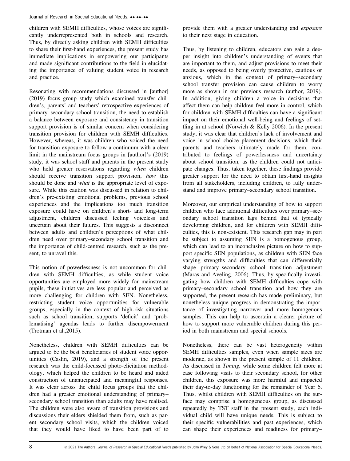children with SEMH difficulties, whose voices are significantly underrepresented both in schools and research. Thus, by directly asking children with SEMH difficulties to share their first-hand experiences, the present study has immediate implications in empowering our participants and made significant contributions to the field in elucidating the importance of valuing student voice in research and practice.

Resonating with recommendations discussed in [author] (2019) focus group study which examined transfer children's, parents' and teachers' retrospective experiences of primary–secondary school transition, the need to establish a balance between exposure and consistency in transition support provision is of similar concern when considering transition provision for children with SEMH difficulties. However, whereas, it was children who voiced the need for transition exposure to follow a continuum with a clear limit in the mainstream focus groups in [author]'s (2019) study, it was school staff and parents in the present study who held greater reservations regarding when children should receive transition support provision, how this should be done and *what* is the appropriate level of exposure. While this caution was discussed in relation to children's pre-existing emotional problems, previous school experiences and the implications too much transition exposure could have on children's short- and long-term adjustment, children discussed feeling voiceless and uncertain about their futures. This suggests a disconnect between adults and children's perceptions of what children need over primary–secondary school transition and the importance of child-centred research, such as the present, to unravel this.

This notion of powerlessness is not uncommon for children with SEMH difficulties, as while student voice opportunities are employed more widely for mainstream pupils, these initiatives are less popular and perceived as more challenging for children with SEN. Nonetheless, restricting student voice opportunities for vulnerable groups, especially in the context of high-risk situations such as school transition, supports 'deficit' and 'problematising' agendas leads to further disempowerment (Trotman et al.,2015).

Nonetheless, children with SEMH difficulties can be argued to be the best beneficiaries of student voice opportunities (Caslin, 2019), and a strength of the present research was the child-focussed photo-elicitation methodology, which helped the children to be heard and aided construction of unanticipated and meaningful responses. It was clear across the child focus groups that the children had a greater emotional understanding of primary– secondary school transition than adults may have realised. The children were also aware of transition provisions and discussions their elders shielded them from, such as parent secondary school visits, which the children voiced that they would have liked to have been part of to

provide them with a greater understanding and exposure to their next stage in education.

Thus, by listening to children, educators can gain a deeper insight into children's understanding of events that are important to them, and adjust provisions to meet their needs, as opposed to being overly protective, cautious or anxious, which in the context of primary–secondary school transfer provision can cause children to worry more as shown in our previous research (author, 2019). In addition, giving children a voice in decisions that affect them can help children feel more in control, which for children with SEMH difficulties can have a significant impact on their emotional well-being and feelings of settling in at school (Norwich & Kelly 2006). In the present study, it was clear that children's lack of involvement and voice in school choice placement decisions, which their parents and teachers ultimately made for them, contributed to feelings of powerlessness and uncertainty about school transition, as the children could not anticipate changes. Thus, taken together, these findings provide greater support for the need to obtain first-hand insights from all stakeholders, including children, to fully understand and improve primary–secondary school transition.

Moreover, our empirical understanding of how to support children who face additional difficulties over primary–secondary school transition lags behind that of typically developing children, and for children with SEMH difficulties, this is non-existent. This research gap may in part be subject to assuming SEN is a homogenous group, which can lead to an inconclusive picture on how to support specific SEN populations, as children with SEN face varying strengths and difficulties that can differentially shape primary–secondary school transition adjustment (Maras and Aveling, 2006). Thus, by specifically investigating how children with SEMH difficulties cope with primary–secondary school transition and how they are supported, the present research has made preliminary, but nonetheless unique progress in demonstrating the importance of investigating narrower and more homogenous samples. This can help to ascertain a clearer picture of how to support more vulnerable children during this period in both mainstream and special schools.

Nonetheless, there can be vast heterogeneity within SEMH difficulties samples, even when sample sizes are moderate, as shown in the present sample of 11 children. As discussed in Timing, while some children felt more at ease following visits to their secondary school, for other children, this exposure was more harmful and impacted their day-to-day functioning for the remainder of Year 6. Thus, whilst children with SEMH difficulties on the surface may comprise a homogeneous group, as discussed repeatedly by TST staff in the present study, each individual child will have unique needs. This is subject to their specific vulnerabilities and past experiences, which can shape their experiences and readiness for primary–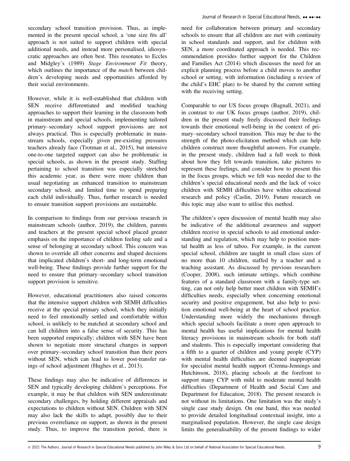secondary school transition provision. Thus, as implemented in the present special school, a 'one size fits all' approach is not suited to support children with special additional needs, and instead more personalised, idiosyncratic approaches are often best. This resonates to Eccles and Midgley's (1989) Stage Environment Fit theory, which outlines the importance of the *match* between children's developing needs and opportunities afforded by their social environments.

However, while it is well-established that children with SEN receive differentiated and modified teaching approaches to support their learning in the classroom both in mainstream and special schools, implementing tailored primary–secondary school support provisions are not always practical. This is especially problematic in mainstream schools, especially given pre-existing pressures teachers already face (Trotman et al., 2015), but intensive one-to-one targeted support can also be problematic in special schools, as shown in the present study. Staffing pertaining to school transition was especially stretched this academic year, as there were more children than usual negotiating an enhanced transition to mainstream secondary school, and limited time to spend preparing each child individually. Thus, further research is needed to ensure transition support provisions are sustainable.

In comparison to findings from our previous research in mainstream schools (author, 2019), the children, parents and teachers at the present special school placed greater emphasis on the importance of children feeling safe and a sense of belonging at secondary school. This concern was shown to override all other concerns and shaped decisions that implicated children's short- and long-term emotional well-being. These findings provide further support for the need to ensure that primary–secondary school transition support provision is sensitive.

However, educational practitioners also raised concerns that the intensive support children with SEMH difficulties receive at the special primary school, which they initially need to feel emotionally settled and comfortable within school, is unlikely to be matched at secondary school and can lull children into a false sense of security. This has been supported empirically; children with SEN have been shown to negotiate more structural changes in support over primary–secondary school transition than their peers without SEN, which can lead to lower post-transfer ratings of school adjustment (Hughes et al., 2013).

These findings may also be indicative of differences in SEN and typically developing children's perceptions. For example, it may be that children with SEN underestimate secondary challenges, by holding different appraisals and expectations to children without SEN. Children with SEN may also lack the skills to adapt, possibly due to their previous overreliance on support, as shown in the present study. Thus, to improve the transition period, there is need for collaboration between primary and secondary schools to ensure that all children are met with continuity in school standards and support, and for children with SEN, a more coordinated approach is needed. This recommendation provides further support for the Children and Families Act (2014) which discusses the need for an explicit planning process before a child moves to another school or setting, with information (including a review of the child's EHC plan) to be shared by the current setting with the receiving setting.

Comparable to our US focus groups (Bagnall, 2021), and in contrast to our UK focus groups (author, 2019), children in the present study freely discussed their feelings towards their emotional well-being in the context of primary–secondary school transition. This may be due to the strength of the photo-elicitation method which can help children construct more thoughtful answers. For example, in the present study, children had a full week to think about how they felt towards transition, take pictures to represent these feelings, and consider how to present this in the focus groups, which we felt was needed due to the children's special educational needs and the lack of voice children with SEMH difficulties have within educational research and policy (Caslin, 2019). Future research on this topic may also want to utilise this method.

The children's open discussion of mental health may also be indicative of the additional awareness and support children receive in special schools to aid emotional understanding and regulation, which may help to position mental health as less of taboo. For example, in the current special school, children are taught in small class sizes of no more than 10 children, staffed by a teacher and a teaching assistant. As discussed by previous researchers (Cooper, 2008), such intimate settings, which combine features of a standard classroom with a family-type setting, can not only help better meet children with SEMH's difficulties needs, especially when concerning emotional security and positive engagement, but also help to position emotional well-being at the heart of school practice. Understanding more widely the mechanisms through which special schools facilitate a more open approach to mental health has useful implications for mental health literacy provisions in mainstream schools for both staff and students. This is especially important considering that a fifth to a quarter of children and young people (CYP) with mental health difficulties are deemed inappropriate for specialist mental health support (Crenna-Jennings and Hutchinson, 2018), placing schools at the forefront to support many CYP with mild to moderate mental health difficulties (Department of Health and Social Care and Department for Education, 2018). The present research is not without its limitations. One limitation was the study's single case study design. On one hand, this was needed to provide detailed longitudinal contextual insight, into a marginalised population. However, the single case design limits the generalisability of the present findings to wider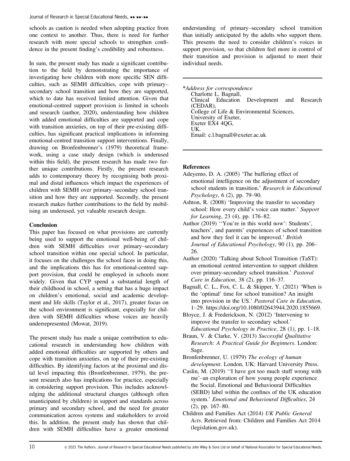schools as caution is needed when adopting practice from one context to another. Thus, there is need for further research with more special schools to strengthen confidence in the present finding's credibility and robustness.

In sum, the present study has made a significant contribution to the field by demonstrating the importance of investigating how children with more specific SEN difficulties, such as SEMH difficulties, cope with primary– secondary school transition and how they are supported, which to date has received limited attention. Given that emotional-centred support provision is limited in schools and research (author, 2020), understanding how children with added emotional difficulties are supported and cope with transition anxieties, on top of their pre-existing difficulties, has significant practical implications in informing emotional-centred transition support interventions. Finally, drawing on Bronfenbrenner's (1979) theoretical framework, using a case study design (which is underused within this field), the present research has made two further unique contributions. Firstly, the present research adds to contemporary theory by recognising both proximal and distal influences which impact the experiences of children with SEMH over primary–secondary school transition and how they are supported. Secondly, the present research makes further contributions to the field by mobilising an underused, yet valuable research design.

# Conclusion

This paper has focused on what provisions are currently being used to support the emotional well-being of children with SEMH difficulties over primary–secondary school transition within one special school. In particular, it focuses on the challenges the school faces in doing this, and the implications this has for emotional-centred support provision, that could be employed in schools more widely. Given that CYP spend a substantial length of their childhood in school, a setting that has a huge impact on children's emotional, social and academic development and life skills (Taylor et al., 2017), greater focus on the school environment is significant, especially for children with SEMH difficulties whose voices are heavily underrepresented (Mowat, 2019).

The present study has made a unique contribution to educational research in understanding how children with added emotional difficulties are supported by others and cope with transition anxieties, on top of their pre-existing difficulties. By identifying factors at the proximal and distal level impacting this (Bronfenbrenner, 1979), the present research also has implications for practice, especially in considering support provision. This includes acknowledging the additional structural changes (although often unanticipated by children) in support and standards across primary and secondary school, and the need for greater communication across systems and stakeholders to avoid this. In addition, the present study has shown that children with SEMH difficulties have a greater emotional

understanding of primary–secondary school transition than initially anticipated by the adults who support them. This presents the need to consider children's voices in support provision, so that children feel more in control of their transition and provision is adjusted to meet their individual needs.

\*Address for correspondence Charlotte L. Bagnall, Clinical Education Development and Research (CEDAR), College of Life & Environmental Sciences, University of Exeter, Exeter EX4 4QG, UK. Email: [c.l.bagnall@exeter.ac.uk](mailto:)

## References

- Adeyemo, D. A. (2005) 'The buffering effect of emotional intelligence on the adjustment of secondary school students in transition.' Research in Educational Psychology, 6 (2), pp. 79–90.
- Ashton, R. (2008) 'Improving the transfer to secondary school: How every child's voice can matter.' Support for Learning, 23 (4), pp. 176–82.
- Author (2019) ''You're in this world now': Students', teachers', and parents' experiences of school transition and how they feel it can be improved.' British Journal of Educational Psychology, 90 (1), pp. 206– 26.
- Author (2020) 'Talking about School Transition (TaST): an emotional centred intervention to support children over primary-secondary school transition.' Pastoral Care in Education, 38 (2), pp. 116–37.
- Bagnall, C. L., Fox, C. L. & Skipper, Y. (2021) 'When is the 'optimal' time for school transition? An insight into provision in the US.' Pastoral Care in Education, 1–29.<https://doi.org/10.1080/02643944.2020.1855669>.
- Bloyce, J. & Frederickson, N. (2012) 'Intervening to improve the transfer to secondary school.' Educational Psychology in Practice, 28 (1), pp. 1–18.
- Braun, V. & Clarke, V. (2013) Successful Qualitative Research: A Practical Guide for Beginners. London: Sage.

Bronfenbrenner, U. (1979) The ecology of human development. London, UK: Harvard University Press.

- Caslin, M. (2019) ''I have got too much stuff wrong with me'–an exploration of how young people experience the Social, Emotional and Behavioural Difficulties (SEBD) label within the confines of the UK education system.' Emotional and Behavioural Difficulties, 24 (2), pp. 167–80.
- Children and Families Act (2014) UK Public General Acts. Retrieved from: Children and Families Act 2014 (legislation.gov.uk).